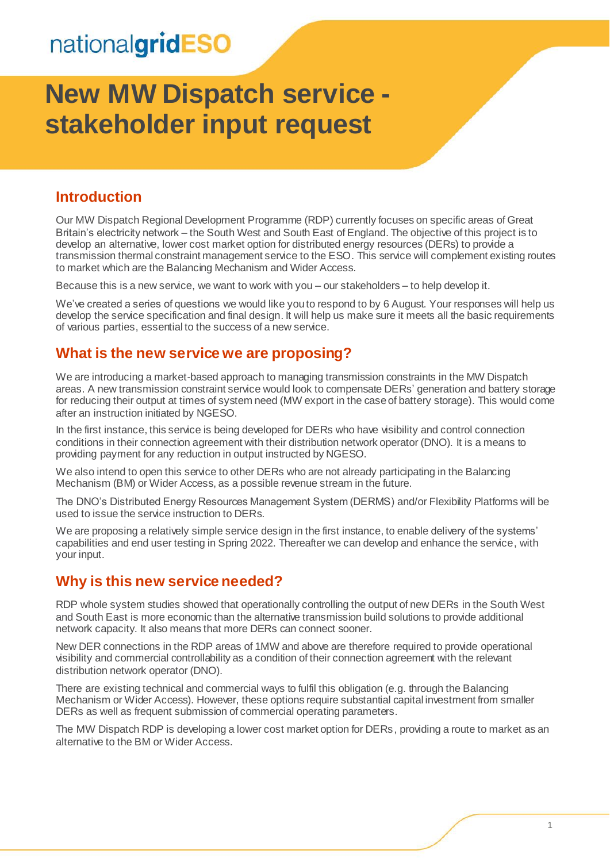# **New MW Dispatch service stakeholder input request**

#### **Introduction**

Our MW Dispatch Regional Development Programme (RDP) currently focuses on specific areas of Great Britain's electricity network – the South West and South East of England. The objective of this project is to develop an alternative, lower cost market option for distributed energy resources (DERs) to provide a transmission thermal constraint management service to the ESO. This service will complement existing routes to market which are the Balancing Mechanism and Wider Access.

Because this is a new service, we want to work with you – our stakeholders – to help develop it.

We've created a series of questions we would like you to respond to by 6 August. Your responses will help us develop the service specification and final design. It will help us make sure it meets all the basic requirements of various parties, essential to the success of a new service.

#### **What is the new service we are proposing?**

We are introducing a market-based approach to managing transmission constraints in the MW Dispatch areas. A new transmission constraint service would look to compensate DERs' generation and battery storage for reducing their output at times of system need (MW export in the case of battery storage). This would come after an instruction initiated by NGESO.

In the first instance, this service is being developed for DERs who have visibility and control connection conditions in their connection agreement with their distribution network operator (DNO). It is a means to providing payment for any reduction in output instructed by NGESO.

We also intend to open this service to other DERs who are not already participating in the Balancing Mechanism (BM) or Wider Access, as a possible revenue stream in the future.

The DNO's Distributed Energy Resources Management System (DERMS) and/or Flexibility Platforms will be used to issue the service instruction to DERs.

We are proposing a relatively simple service design in the first instance, to enable delivery of the systems' capabilities and end user testing in Spring 2022. Thereafter we can develop and enhance the service, with your input.

#### **Why is this new service needed?**

RDP whole system studies showed that operationally controlling the output of new DERs in the South West and South East is more economic than the alternative transmission build solutions to provide additional network capacity. It also means that more DERs can connect sooner.

New DER connections in the RDP areas of 1MW and above are therefore required to provide operational visibility and commercial controllability as a condition of their connection agreement with the relevant distribution network operator (DNO).

There are existing technical and commercial ways to fulfil this obligation (e.g. through the Balancing Mechanism or Wider Access). However, these options require substantial capital investment from smaller DERs as well as frequent submission of commercial operating parameters.

The MW Dispatch RDP is developing a lower cost market option for DERs, providing a route to market as an alternative to the BM or Wider Access.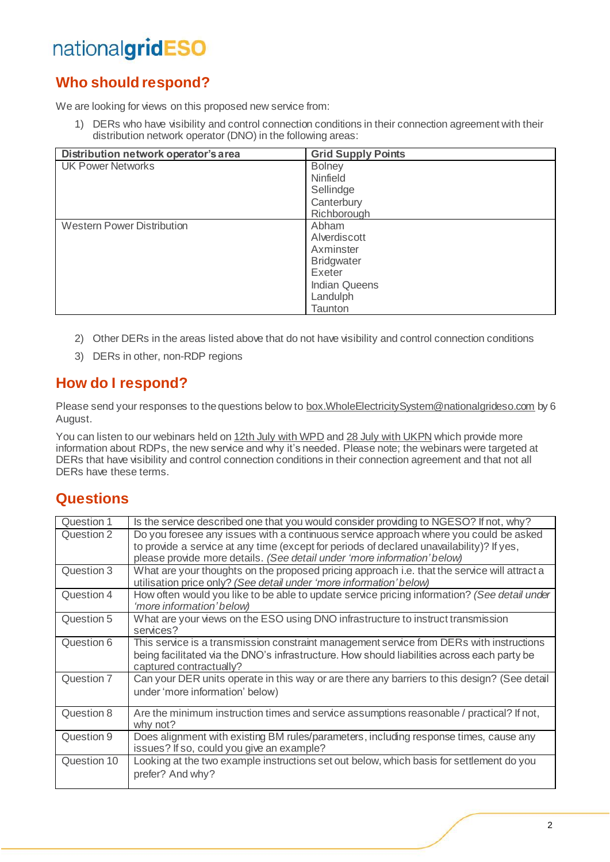### **Who should respond?**

We are looking for views on this proposed new service from:

1) DERs who have visibility and control connection conditions in their connection agreement with their distribution network operator (DNO) in the following areas:

| Distribution network operator's area | <b>Grid Supply Points</b> |
|--------------------------------------|---------------------------|
| <b>UK Power Networks</b>             | <b>Bolney</b>             |
|                                      | Ninfield                  |
|                                      | Sellindge                 |
|                                      | Canterbury                |
|                                      | Richborough               |
| <b>Western Power Distribution</b>    | Abham                     |
|                                      | Alverdiscott              |
|                                      | Axminster                 |
|                                      | <b>Bridgwater</b>         |
|                                      | Exeter                    |
|                                      | <b>Indian Queens</b>      |
|                                      | Landulph                  |
|                                      | Taunton                   |

- 2) Other DERs in the areas listed above that do not have visibility and control connection conditions
- 3) DERs in other, non-RDP regions

### **How do I respond?**

Please send your responses to the questions below to box. WholeElectricitySystem@nationalgrideso.com by 6 August.

You can listen to our webinars held on 12th [July with WPD](https://players.brightcove.net/867903724001/default_default/index.html?videoId=6263530902001) and 28 July [with UKPN](https://players.brightcove.net/867903724001/default_default/index.html?videoId=6265696511001) which provide more information about RDPs, the new service and why it's needed. Please note; the webinars were targeted at DERs that have visibility and control connection conditions in their connection agreement and that not all DERs have these terms.

#### **Questions**

| Question 1  | Is the service described one that you would consider providing to NGESO? If not, why?                                                                                                                                                                          |
|-------------|----------------------------------------------------------------------------------------------------------------------------------------------------------------------------------------------------------------------------------------------------------------|
| Question 2  | Do you foresee any issues with a continuous service approach where you could be asked<br>to provide a service at any time (except for periods of declared unavailability)? If yes,<br>please provide more details. (See detail under 'more information' below) |
| Question 3  | What are your thoughts on the proposed pricing approach i.e. that the service will attract a<br>utilisation price only? (See detail under 'more information' below)                                                                                            |
| Question 4  | How often would you like to be able to update service pricing information? (See detail under<br>'more information' below)                                                                                                                                      |
| Question 5  | What are your views on the ESO using DNO infrastructure to instruct transmission<br>services?                                                                                                                                                                  |
| Question 6  | This service is a transmission constraint management service from DERs with instructions<br>being facilitated via the DNO's infrastructure. How should liabilities across each party be<br>captured contractually?                                             |
| Question 7  | Can your DER units operate in this way or are there any barriers to this design? (See detail<br>under 'more information' below)                                                                                                                                |
| Question 8  | Are the minimum instruction times and service assumptions reasonable / practical? If not,<br>why not?                                                                                                                                                          |
| Question 9  | Does alignment with existing BM rules/parameters, including response times, cause any<br>issues? If so, could you give an example?                                                                                                                             |
| Question 10 | Looking at the two example instructions set out below, which basis for settlement do you<br>prefer? And why?                                                                                                                                                   |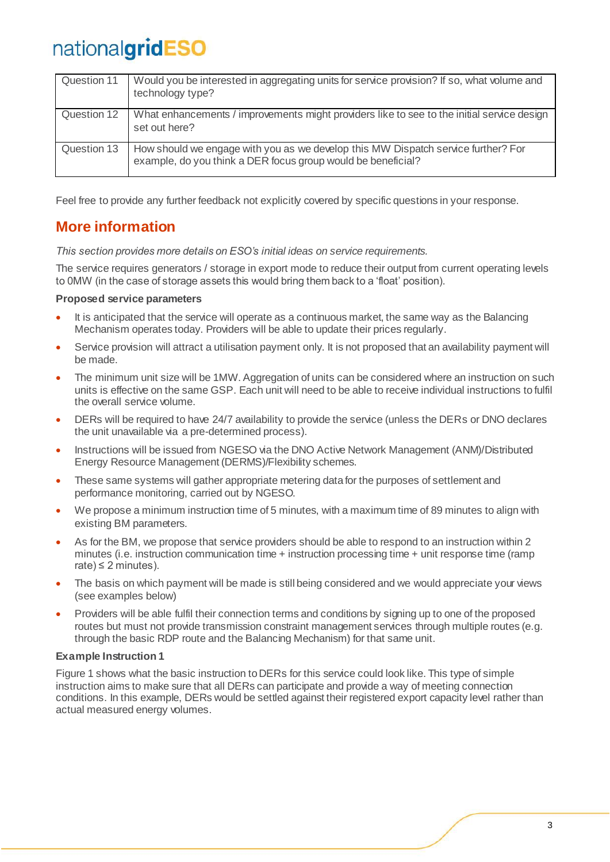| Question 11 | Would you be interested in aggregating units for service provision? If so, what volume and<br>technology type?                                    |
|-------------|---------------------------------------------------------------------------------------------------------------------------------------------------|
| Question 12 | What enhancements / improvements might providers like to see to the initial service design<br>set out here?                                       |
| Question 13 | How should we engage with you as we develop this MW Dispatch service further? For<br>example, do you think a DER focus group would be beneficial? |

Feel free to provide any further feedback not explicitly covered by specific questions in your response.

### **More information**

*This section provides more details on ESO's initial ideas on service requirements.*

The service requires generators / storage in export mode to reduce their output from current operating levels to 0MW (in the case of storage assets this would bring them back to a 'float' position).

#### **Proposed service parameters**

- It is anticipated that the service will operate as a continuous market, the same way as the Balancing Mechanism operates today. Providers will be able to update their prices regularly.
- Service provision will attract a utilisation payment only. It is not proposed that an availability payment will be made.
- The minimum unit size will be 1MW. Aggregation of units can be considered where an instruction on such units is effective on the same GSP. Each unit will need to be able to receive individual instructions to fulfil the overall service volume.
- DERs will be required to have 24/7 availability to provide the service (unless the DERs or DNO declares the unit unavailable via a pre-determined process).
- Instructions will be issued from NGESO via the DNO Active Network Management (ANM)/Distributed Energy Resource Management (DERMS)/Flexibility schemes.
- These same systems will gather appropriate metering data for the purposes of settlement and performance monitoring, carried out by NGESO.
- We propose a minimum instruction time of 5 minutes, with a maximum time of 89 minutes to align with existing BM parameters.
- As for the BM, we propose that service providers should be able to respond to an instruction within 2 minutes (i.e. instruction communication time + instruction processing time + unit response time (ramp rate)  $\leq$  2 minutes).
- The basis on which payment will be made is still being considered and we would appreciate your views (see examples below)
- Providers will be able fulfil their connection terms and conditions by signing up to one of the proposed routes but must not provide transmission constraint management services through multiple routes (e.g. through the basic RDP route and the Balancing Mechanism) for that same unit.

#### **Example Instruction 1**

Figure 1 shows what the basic instruction to DERs for this service could look like. This type of simple instruction aims to make sure that all DERs can participate and provide a way of meeting connection conditions. In this example, DERs would be settled against their registered export capacity level rather than actual measured energy volumes.